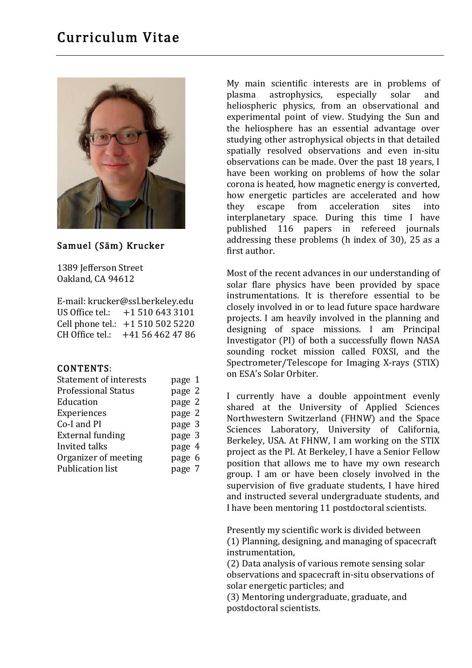# Curriculum Vitae



#### Samuel (Säm) Krucker

1389 Jefferson Street Oakland, CA 94612

| E-mail: krucker@ssl.berkeley.edu |                                  |
|----------------------------------|----------------------------------|
| US Office tel.:                  | +1 510 643 3101                  |
|                                  | Cell phone tel.: +1 510 502 5220 |
|                                  | CH Office tel.: $+41564624786$   |

#### CONTENTS:

| <b>Statement of interests</b> | page 1 |
|-------------------------------|--------|
| <b>Professional Status</b>    | page 2 |
| Education                     | page 2 |
| Experiences                   | page 2 |
| Co-I and PI                   | page 3 |
| <b>External funding</b>       | page 3 |
| Invited talks                 | page 4 |
| Organizer of meeting          | page 6 |
| <b>Publication list</b>       | page 7 |
|                               |        |

My main scientific interests are in problems of plasma astrophysics, especially solar and heliospheric physics, from an observational and experimental point of view. Studying the Sun and the heliosphere has an essential advantage over studying other astrophysical objects in that detailed spatially resolved observations and even in-situ observations can be made. Over the past 18 years, I have been working on problems of how the solar corona is heated, how magnetic energy is converted, how energetic particles are accelerated and how they escape from acceleration sites into interplanetary space. During this time I have published 116 papers in refereed journals addressing these problems (h index of 30), 25 as a first author.

Most of the recent advances in our understanding of solar flare physics have been provided by space instrumentations. It is therefore essential to be closely involved in or to lead future space hardware projects. I am heavily involved in the planning and designing of space missions. I am Principal Investigator (PI) of both a successfully flown NASA sounding rocket mission called FOXSI, and the Spectrometer/Telescope for Imaging X-rays (STIX) on ESA's Solar Orbiter.

I currently have a double appointment evenly shared at the University of Applied Sciences Northwestern Switzerland (FHNW) and the Space Sciences Laboratory, University of California, Berkeley, USA. At FHNW, I am working on the STIX project as the PI. At Berkeley, I have a Senior Fellow position that allows me to have my own research group. I am or have been closely involved in the supervision of five graduate students, I have hired and instructed several undergraduate students, and I have been mentoring 11 postdoctoral scientists.

Presently my scientific work is divided between (1) Planning, designing, and managing of spacecraft instrumentation,

(2) Data analysis of various remote sensing solar observations and spacecraft in-situ observations of solar energetic particles; and

(3) Mentoring undergraduate, graduate, and postdoctoral scientists.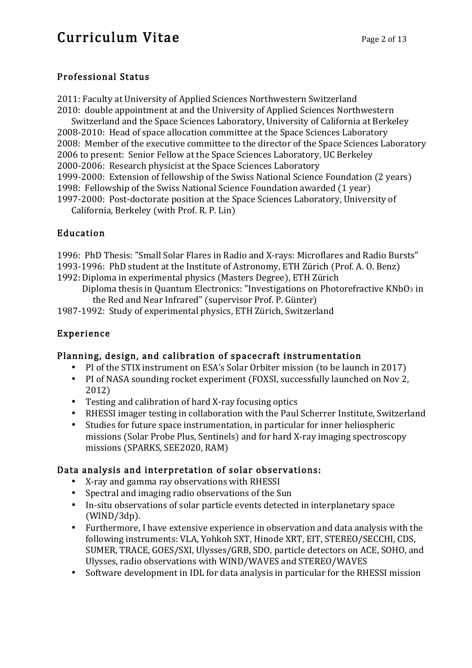# Curriculum Vitae Page 2 of 13

### Professional Status

2011: Faculty at University of Applied Sciences Northwestern Switzerland

2010: double appointment at and the University of Applied Sciences Northwestern

Switzerland and the Space Sciences Laboratory, University of California at Berkeley 2008-2010: Head of space allocation committee at the Space Sciences Laboratory 2008: Member of the executive committee to the director of the Space Sciences Laboratory 2006 to present: Senior Fellow at the Space Sciences Laboratory, UC Berkeley 2000-2006: Research physicist at the Space Sciences Laboratory 1999-2000: Extension of fellowship of the Swiss National Science Foundation (2 years) 1998: Fellowship of the Swiss National Science Foundation awarded (1 year) 1997-2000: Post-doctorate position at the Space Sciences Laboratory, University of

California, Berkeley (with Prof. R. P. Lin)

### Education

1996: PhD Thesis: "Small Solar Flares in Radio and X-rays: Microflares and Radio Bursts" 1993-1996: PhD student at the Institute of Astronomy, ETH Zürich (Prof. A. O. Benz) 1992:Diploma in experimental physics (Masters Degree), ETH Zürich

Diploma thesis in Quantum Electronics: "Investigations on Photorefractive KNbO3 in the Red and Near Infrared" (supervisor Prof. P. Günter)

1987-1992: Study of experimental physics, ETH Zürich, Switzerland

## Experience

### Planning, design, and calibration of spacecraft instrumentation

- PI of the STIX instrument on ESA's Solar Orbiter mission (to be launch in 2017)
- PI of NASA sounding rocket experiment (FOXSI, successfully launched on Nov 2, 2012)
- Testing and calibration of hard X-ray focusing optics
- RHESSI imager testing in collaboration with the Paul Scherrer Institute, Switzerland
- Studies for future space instrumentation, in particular for inner heliospheric missions (Solar Probe Plus, Sentinels) and for hard X-ray imaging spectroscopy missions (SPARKS, SEE2020, RAM)

## Data analysis and interpretation of solar observations:

- X-ray and gamma ray observations with RHESSI
- Spectral and imaging radio observations of the Sun
- In-situ observations of solar particle events detected in interplanetary space (WIND/3dp).
- Furthermore, I have extensive experience in observation and data analysis with the following instruments: VLA, Yohkoh SXT, Hinode XRT, EIT, STEREO/SECCHI, CDS, SUMER, TRACE, GOES/SXI, Ulysses/GRB, SDO, particle detectors on ACE, SOHO, and Ulysses, radio observations with WIND/WAVES and STEREO/WAVES
- Software development in IDL for data analysis in particular for the RHESSI mission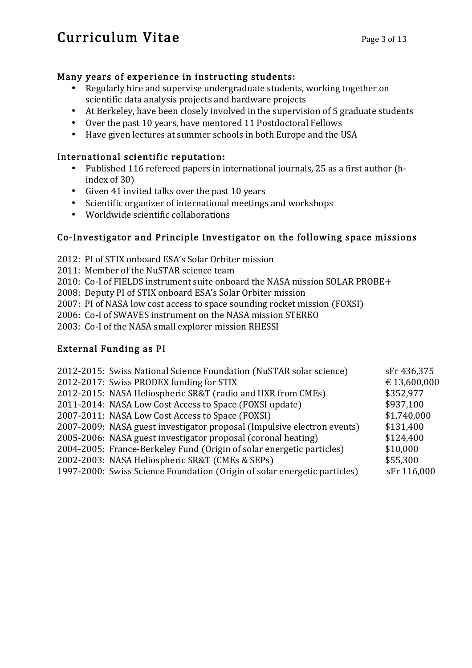# Curriculum Vitae Page 3 of 13

### Many years of experience in instructing students:

- Regularly hire and supervise undergraduate students, working together on scientific data analysis projects and hardware projects
- At Berkeley, have been closely involved in the supervision of 5 graduate students
- Over the past 10 years, have mentored 11 Postdoctoral Fellows
- Have given lectures at summer schools in both Europe and the USA

#### International scientific reputation:

- Published 116 refereed papers in international journals, 25 as a first author (hindex of 30)
- Given 41 invited talks over the past 10 years
- Scientific organizer of international meetings and workshops
- Worldwide scientific collaborations

### Co-Investigator and Principle Investigator on the following space missions

- 2012: PI of STIX onboard ESA's Solar Orbiter mission
- 2011: Member of the NuSTAR science team
- 2010: Co-I of FIELDS instrument suite onboard the NASA mission SOLAR PROBE+
- 2008: Deputy PI of STIX onboard ESA's Solar Orbiter mission
- 2007: PI of NASA low cost access to space sounding rocket mission (FOXSI)
- 2006: Co-I of SWAVES instrument on the NASA mission STEREO
- 2003: Co-I of the NASA small explorer mission RHESSI

### External Funding as PI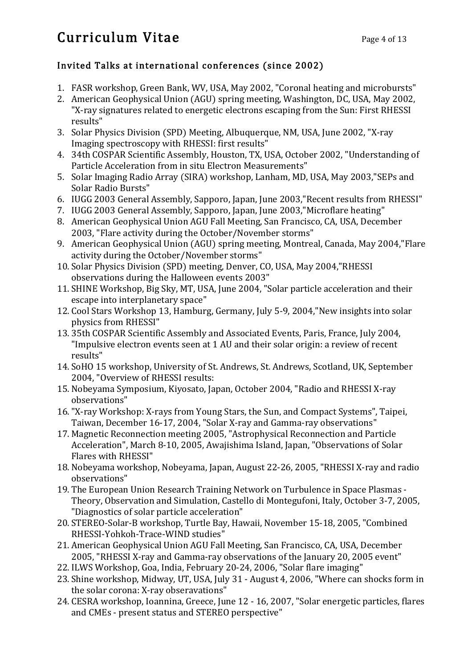# Curriculum Vitae Page 4 of 13

## Invited Talks at international conferences (since 2002)

- 1. FASR workshop, Green Bank, WV, USA, May 2002, "Coronal heating and microbursts"
- 2. American Geophysical Union (AGU) spring meeting, Washington, DC, USA, May 2002, "X-ray signatures related to energetic electrons escaping from the Sun: First RHESSI results"
- 3. Solar Physics Division (SPD) Meeting, Albuquerque, NM, USA, June 2002, "X-ray Imaging spectroscopy with RHESSI: first results"
- 4. 34th COSPAR Scientific Assembly, Houston, TX, USA, October 2002, "Understanding of Particle Acceleration from in situ Electron Measurements"
- 5. Solar Imaging Radio Array (SIRA) workshop, Lanham, MD, USA, May 2003,"SEPs and Solar Radio Bursts"
- 6. IUGG 2003 General Assembly, Sapporo, Japan, June 2003,"Recent results from RHESSI"
- 7. IUGG 2003 General Assembly, Sapporo, Japan, June 2003,"Microflare heating"
- 8. American Geophysical Union AGU Fall Meeting, San Francisco, CA, USA, December 2003, "Flare activity during the October/November storms"
- 9. American Geophysical Union (AGU) spring meeting, Montreal, Canada, May 2004,"Flare activity during the October/November storms"
- 10. Solar Physics Division (SPD) meeting, Denver, CO, USA, May 2004,"RHESSI observations during the Halloween events 2003"
- 11. SHINE Workshop, Big Sky, MT, USA, June 2004, "Solar particle acceleration and their escape into interplanetary space"
- 12. Cool Stars Workshop 13, Hamburg, Germany, July 5-9, 2004,"New insights into solar physics from RHESSI"
- 13. 35th COSPAR Scientific Assembly and Associated Events, Paris, France, July 2004, "Impulsive electron events seen at 1 AU and their solar origin: a review of recent results"
- 14. SoHO 15 workshop, University of St. Andrews, St. Andrews, Scotland, UK, September 2004, "Overview of RHESSI results:
- 15. Nobeyama Symposium, Kiyosato, Japan, October 2004, "Radio and RHESSI X-ray observations"
- 16."X-ray Workshop: X-rays from Young Stars, the Sun, and Compact Systems", Taipei, Taiwan, December 16-17, 2004, "Solar X-ray and Gamma-ray observations"
- 17. Magnetic Reconnection meeting 2005, "Astrophysical Reconnection and Particle Acceleration", March 8-10, 2005, Awajishima Island, Japan, "Observations of Solar Flares with RHESSI"
- 18. Nobeyama workshop, Nobeyama, Japan, August 22-26, 2005, "RHESSI X-ray and radio observations"
- 19. The European Union Research Training Network on Turbulence in Space Plasmas Theory, Observation and Simulation, Castello di Montegufoni, Italy, October 3-7, 2005, "Diagnostics of solar particle acceleration"
- 20. STEREO-Solar-B workshop, Turtle Bay, Hawaii, November 15-18, 2005, "Combined RHESSI-Yohkoh-Trace-WIND studies"
- 21. American Geophysical Union AGU Fall Meeting, San Francisco, CA, USA, December 2005, "RHESSI X-ray and Gamma-ray observations of the January 20, 2005 event"
- 22. ILWS Workshop, Goa, India, February 20-24, 2006, "Solar flare imaging"
- 23. Shine workshop, Midway, UT, USA, July 31 August 4, 2006, "Where can shocks form in the solar corona: X-ray obseravations"
- 24. CESRA workshop, Ioannina, Greece, June 12 16, 2007, "Solar energetic particles, flares and CMEs - present status and STEREO perspective"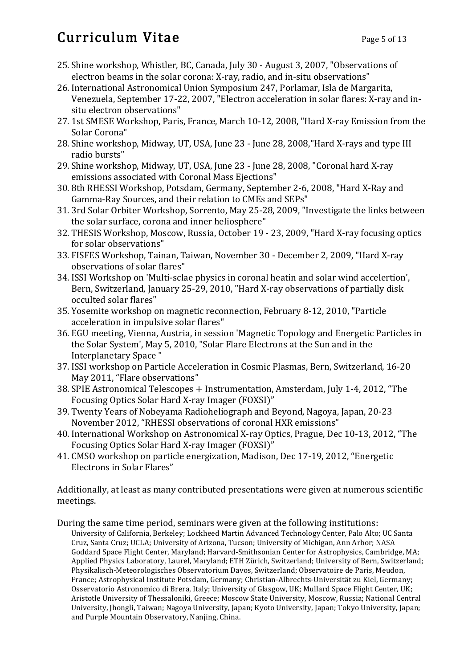# Curriculum Vitae Page 5 of 13

- 25. Shine workshop, Whistler, BC, Canada, July 30 August 3, 2007, "Observations of electron beams in the solar corona: X-ray, radio, and in-situ observations"
- 26. International Astronomical Union Symposium 247, Porlamar, Isla de Margarita, Venezuela, September 17-22, 2007, "Electron acceleration in solar flares: X-ray and insitu electron observations"
- 27. 1st SMESE Workshop, Paris, France, March 10-12, 2008, "Hard X-ray Emission from the Solar Corona"
- 28. Shine workshop, Midway, UT, USA, June 23 June 28, 2008,"Hard X-rays and type III radio bursts"
- 29. Shine workshop, Midway, UT, USA, June 23 June 28, 2008, "Coronal hard X-ray emissions associated with Coronal Mass Ejections"
- 30. 8th RHESSI Workshop, Potsdam, Germany, September 2-6, 2008, "Hard X-Ray and Gamma-Ray Sources, and their relation to CMEs and SEPs"
- 31. 3rd Solar Orbiter Workshop, Sorrento, May 25-28, 2009, "Investigate the links between the solar surface, corona and inner heliosphere"
- 32. THESIS Workshop, Moscow, Russia, October 19 23, 2009, "Hard X-ray focusing optics for solar observations"
- 33. FISFES Workshop, Tainan, Taiwan, November 30 December 2, 2009, "Hard X-ray observations of solar flares"
- 34. ISSI Workshop on 'Multi-sclae physics in coronal heatin and solar wind accelertion', Bern, Switzerland, January 25-29, 2010, "Hard X-ray observations of partially disk occulted solar flares"
- 35. Yosemite workshop on magnetic reconnection, February 8-12, 2010, "Particle acceleration in impulsive solar flares"
- 36. EGU meeting, Vienna, Austria, in session 'Magnetic Topology and Energetic Particles in the Solar System', May 5, 2010, "Solar Flare Electrons at the Sun and in the Interplanetary Space "
- 37. ISSI workshop on Particle Acceleration in Cosmic Plasmas, Bern, Switzerland, 16-20 May 2011, "Flare observations"
- 38. SPIE Astronomical Telescopes + Instrumentation, Amsterdam, July 1-4, 2012, "The Focusing Optics Solar Hard X-ray Imager (FOXSI)"
- 39. Twenty Years of Nobeyama Radioheliograph and Beyond, Nagoya, Japan, 20-23 November 2012, "RHESSI observations of coronal HXR emissions"
- 40. International Workshop on Astronomical X-ray Optics, Prague, Dec 10-13, 2012, "The Focusing Optics Solar Hard X-ray Imager (FOXSI)"
- 41. CMSO workshop on particle energization, Madison, Dec 17-19, 2012, "Energetic Electrons in Solar Flares"

Additionally, at least as many contributed presentations were given at numerous scientific meetings.

During the same time period, seminars were given at the following institutions: University of California, Berkeley; Lockheed Martin Advanced Technology Center, Palo Alto; UC Santa Cruz, Santa Cruz; UCLA; University of Arizona, Tucson; University of Michigan, Ann Arbor; NASA Goddard Space Flight Center, Maryland; Harvard-Smithsonian Center for Astrophysics, Cambridge, MA; Applied Physics Laboratory, Laurel, Maryland; ETH Zürich, Switzerland; University of Bern, Switzerland; Physikalisch-Meteorologisches Observatorium Davos, Switzerland; Observatoire de Paris, Meudon, France; Astrophysical Institute Potsdam, Germany; Christian-Albrechts-Universität zu Kiel, Germany; Osservatorio Astronomico di Brera, Italy; University of Glasgow, UK; Mullard Space Flight Center, UK; Aristotle University of Thessaloniki, Greece; Moscow State University, Moscow, Russia; National Central University, Jhongli, Taiwan; Nagoya University, Japan; Kyoto University, Japan; Tokyo University, Japan; and Purple Mountain Observatory, Nanjing, China.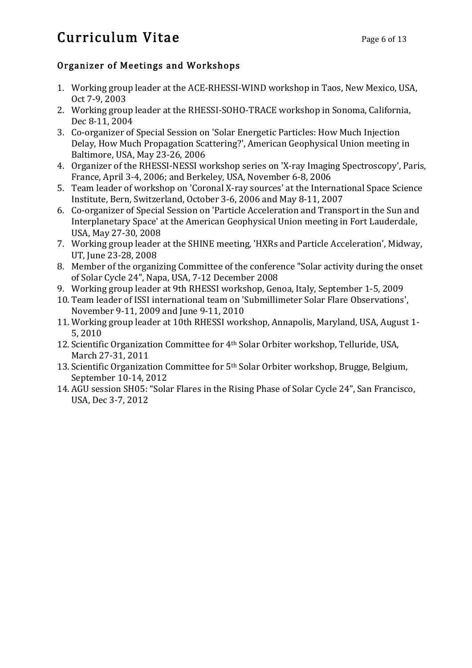# Curriculum Vitae Page 6 of 13

## Organizer of Meetings and Workshops

- 1. Working group leader at the ACE-RHESSI-WIND workshop in Taos, New Mexico, USA, Oct 7-9, 2003
- 2. Working group leader at the RHESSI-SOHO-TRACE workshop in Sonoma, California, Dec 8-11, 2004
- 3. Co-organizer of Special Session on 'Solar Energetic Particles: How Much Injection Delay, How Much Propagation Scattering?', American Geophysical Union meeting in Baltimore, USA, May 23-26, 2006
- 4. Organizer of the RHESSI-NESSI workshop series on 'X-ray Imaging Spectroscopy', Paris, France, April 3-4, 2006; and Berkeley, USA, November 6-8, 2006
- 5. Team leader of workshop on 'Coronal X-ray sources' at the International Space Science Institute, Bern, Switzerland, October 3-6, 2006 and May 8-11, 2007
- 6. Co-organizer of Special Session on 'Particle Acceleration and Transport in the Sun and Interplanetary Space' at the American Geophysical Union meeting in Fort Lauderdale, USA, May 27-30, 2008
- 7. Working group leader at the SHINE meeting, 'HXRs and Particle Acceleration', Midway, UT, June 23-28, 2008
- 8. Member of the organizing Committee of the conference "Solar activity during the onset of Solar Cycle 24", Napa, USA, 7-12 December 2008
- 9. Working group leader at 9th RHESSI workshop, Genoa, Italy, September 1-5, 2009
- 10. Team leader of ISSI international team on 'Submillimeter Solar Flare Observations', November 9-11, 2009 and June 9-11, 2010
- 11. Working group leader at 10th RHESSI workshop, Annapolis, Maryland, USA, August 1- 5, 2010
- 12. Scientific Organization Committee for 4th Solar Orbiter workshop, Telluride, USA, March 27-31, 2011
- 13. Scientific Organization Committee for 5<sup>th</sup> Solar Orbiter workshop, Brugge, Belgium, September 10-14, 2012
- 14. AGU session SH05: "Solar Flares in the Rising Phase of Solar Cycle 24", San Francisco, USA, Dec 3-7, 2012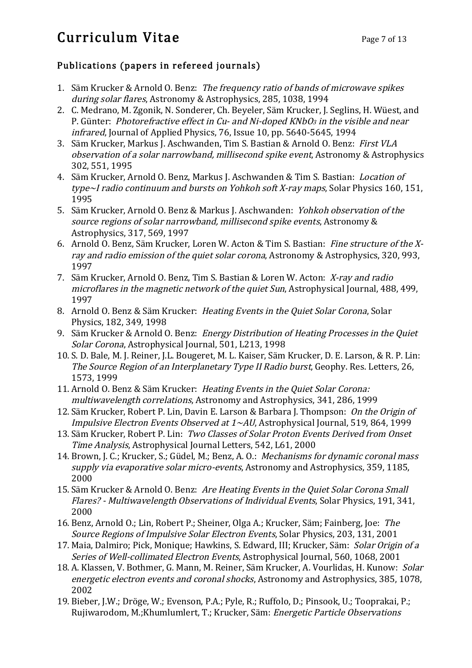# Curriculum Vitae Page 7 of 13

### Publications (papers in refereed journals)

- 1. Säm Krucker & Arnold O. Benz: The frequency ratio of bands of microwave spikes during solar flares, Astronomy & Astrophysics, 285, 1038, 1994
- 2. C. Medrano, M. Zgonik, N. Sonderer, Ch. Beyeler, Säm Krucker, J. Seglins, H. Wüest, and P. Günter: Photorefractive effect in Cu- and Ni-doped KNbO<sub>3</sub> in the visible and near infrared, Journal of Applied Physics, 76, Issue 10, pp. 5640-5645, 1994
- 3. Säm Krucker, Markus J. Aschwanden, Tim S. Bastian & Arnold O. Benz: First VLA observation of a solar narrowband, millisecond spike event, Astronomy & Astrophysics 302, 551, 1995
- 4. Säm Krucker, Arnold O. Benz, Markus J. Aschwanden & Tim S. Bastian: Location of type~I radio continuum and bursts on Yohkoh soft X-ray maps, Solar Physics 160, 151, 1995
- 5. Säm Krucker, Arnold O. Benz & Markus J. Aschwanden: Yohkoh observation of the source regions of solar narrowband, millisecond spike events, Astronomy & Astrophysics, 317, 569, 1997
- 6. Arnold O. Benz, Säm Krucker, Loren W. Acton & Tim S. Bastian: Fine structure of the Xray and radio emission of the quiet solar corona, Astronomy & Astrophysics, 320, 993, 1997
- 7. Säm Krucker, Arnold O. Benz, Tim S. Bastian & Loren W. Acton: X-ray and radio microflares in the magnetic network of the quiet Sun, Astrophysical Journal, 488, 499, 1997
- 8. Arnold O. Benz & Säm Krucker: Heating Events in the Quiet Solar Corona, Solar Physics, 182, 349, 1998
- 9. Säm Krucker & Arnold O. Benz: Energy Distribution of Heating Processes in the Quiet Solar Corona, Astrophysical Journal, 501, L213, 1998
- 10. S. D. Bale, M. J. Reiner, J.L. Bougeret, M. L. Kaiser, Säm Krucker, D. E. Larson, & R. P. Lin: The Source Region of an Interplanetary Type II Radio burst, Geophy. Res. Letters, 26, 1573, 1999
- 11. Arnold O. Benz & Säm Krucker: Heating Events in the Quiet Solar Corona: multiwavelength correlations, Astronomy and Astrophysics, 341, 286, 1999
- 12. Säm Krucker, Robert P. Lin, Davin E. Larson & Barbara J. Thompson: On the Origin of Impulsive Electron Events Observed at 1~AU, Astrophysical Journal, 519, 864, 1999
- 13. Säm Krucker, Robert P. Lin: Two Classes of Solar Proton Events Derived from Onset Time Analysis, Astrophysical Journal Letters, 542, L61, 2000
- 14. Brown, J. C.; Krucker, S.; Güdel, M.; Benz, A. O.: Mechanisms for dynamic coronal mass supply via evaporative solar micro-events, Astronomy and Astrophysics, 359, 1185, 2000
- 15. Säm Krucker & Arnold O. Benz: Are Heating Events in the Quiet Solar Corona Small Flares? - Multiwavelength Observations of Individual Events, Solar Physics, 191, 341, 2000
- 16. Benz, Arnold O.; Lin, Robert P.; Sheiner, Olga A.; Krucker, Säm; Fainberg, Joe: The Source Regions of Impulsive Solar Electron Events, Solar Physics, 203, 131, 2001
- 17. Maia, Dalmiro; Pick, Monique; Hawkins, S. Edward, III; Krucker, Säm: Solar Origin of a Series of Well-collimated Electron Events, Astrophysical Journal, 560, 1068, 2001
- 18. A. Klassen, V. Bothmer, G. Mann, M. Reiner, Säm Krucker, A. Vourlidas, H. Kunow: Solar energetic electron events and coronal shocks, Astronomy and Astrophysics, 385, 1078, 2002
- 19. Bieber, J.W.; Dröge, W.; Evenson, P.A.; Pyle, R.; Ruffolo, D.; Pinsook, U.; Tooprakai, P.; Rujiwarodom, M.;Khumlumlert, T.; Krucker, Säm: Energetic Particle Observations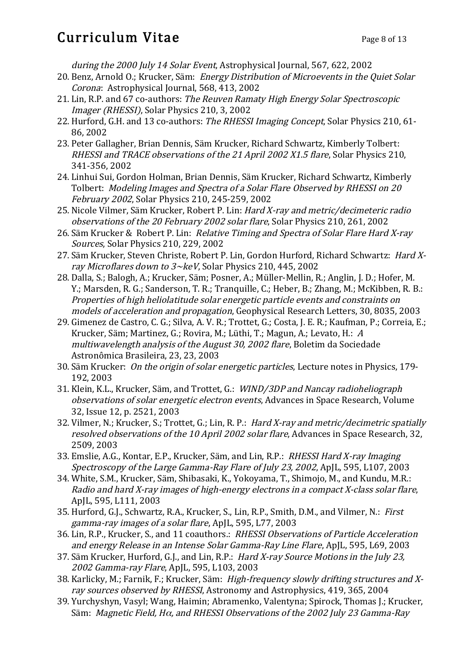## Curriculum Vitae Page 8 of 13

during the 2000 July 14 Solar Event, Astrophysical Journal, 567, 622, 2002

- 20. Benz, Arnold O.; Krucker, Säm: Energy Distribution of Microevents in the Quiet Solar Corona: Astrophysical Journal, 568, 413, 2002
- 21. Lin, R.P. and 67 co-authors: The Reuven Ramaty High Energy Solar Spectroscopic Imager (RHESSI), Solar Physics 210, 3, 2002
- 22. Hurford, G.H. and 13 co-authors: The RHESSI Imaging Concept, Solar Physics 210, 61- 86, 2002
- 23. Peter Gallagher, Brian Dennis, Säm Krucker, Richard Schwartz, Kimberly Tolbert: RHESSI and TRACE observations of the 21 April 2002 X1.5 flare, Solar Physics 210, 341-356, 2002
- 24. Linhui Sui, Gordon Holman, Brian Dennis, Säm Krucker, Richard Schwartz, Kimberly Tolbert: Modeling Images and Spectra of a Solar Flare Observed by RHESSI on 20 February 2002, Solar Physics 210, 245-259, 2002
- 25. Nicole Vilmer, Säm Krucker, Robert P. Lin: Hard X-ray and metric/decimeteric radio observations of the 20 February 2002 solar flare, Solar Physics 210, 261, 2002
- 26. Säm Krucker & Robert P. Lin: Relative Timing and Spectra of Solar Flare Hard X-ray Sources, Solar Physics 210, 229, 2002
- 27. Säm Krucker, Steven Christe, Robert P. Lin, Gordon Hurford, Richard Schwartz: Hard Xray Microflares down to  $3 \sim$ keV, Solar Physics 210, 445, 2002
- 28. Dalla, S.; Balogh, A.; Krucker, Säm; Posner, A.; Müller-Mellin, R.; Anglin, J. D.; Hofer, M. Y.; Marsden, R. G.; Sanderson, T. R.; Tranquille, C.; Heber, B.; Zhang, M.; McKibben, R. B.: Properties of high heliolatitude solar energetic particle events and constraints on models of acceleration and propagation, Geophysical Research Letters, 30, 8035, 2003
- 29. Gimenez de Castro, C. G.; Silva, A. V. R.; Trottet, G.; Costa, J. E. R.; Kaufman, P.; Correia, E.; Krucker, Säm; Martinez, G.; Rovira, M.; Lüthi, T.; Magun, A.; Levato, H.: <sup>A</sup> multiwavelength analysis of the August 30, 2002 flare, Boletim da Sociedade Astronômica Brasileira, 23, 23, 2003
- 30. Säm Krucker: On the origin of solar energetic particles, Lecture notes in Physics, 179- 192, 2003
- 31. Klein, K.L., Krucker, Säm, and Trottet, G.: WIND/3DP and Nancay radioheliograph observations of solar energetic electron events, Advances in Space Research, Volume 32, Issue 12, p. 2521, 2003
- 32. Vilmer, N.; Krucker, S.; Trottet, G.; Lin, R. P.: Hard X-ray and metric/decimetric spatially resolved observations of the 10 April 2002 solar flare, Advances in Space Research, 32, 2509, 2003
- 33. Emslie, A.G., Kontar, E.P., Krucker, Säm, and Lin, R.P.: RHESSI Hard X-ray Imaging Spectroscopy of the Large Gamma-Ray Flare of July 23, 2002, ApJL, 595, L107, 2003
- 34. White, S.M., Krucker, Säm, Shibasaki, K., Yokoyama, T., Shimojo, M., and Kundu, M.R.: Radio and hard X-ray images of high-energy electrons in a compact X-class solar flare, ApJL, 595, L111, 2003
- 35. Hurford, G.J., Schwartz, R.A., Krucker, S., Lin, R.P., Smith, D.M., and Vilmer, N.: First gamma-ray images of a solar flare, ApJL, 595, L77, 2003
- 36. Lin, R.P., Krucker, S., and 11 coauthors.: RHESSI Observations of Particle Acceleration and energy Release in an Intense Solar Gamma-Ray Line Flare, ApJL, 595, L69, 2003
- 37. Säm Krucker, Hurford, G.J., and Lin, R.P.: Hard X-ray Source Motions in the July 23, 2002 Gamma-ray Flare, ApJL, 595, L103, 2003
- 38. Karlicky, M.; Farnik, F.; Krucker, Säm: High-frequency slowly drifting structures and Xray sources observed by RHESSI, Astronomy and Astrophysics, 419, 365, 2004
- 39. Yurchyshyn, Vasyl; Wang, Haimin; Abramenko, Valentyna; Spirock, Thomas J.; Krucker, Säm: Magnetic Field, H<sup>α</sup>, and RHESSI Observations of the 2002 July 23 Gamma-Ray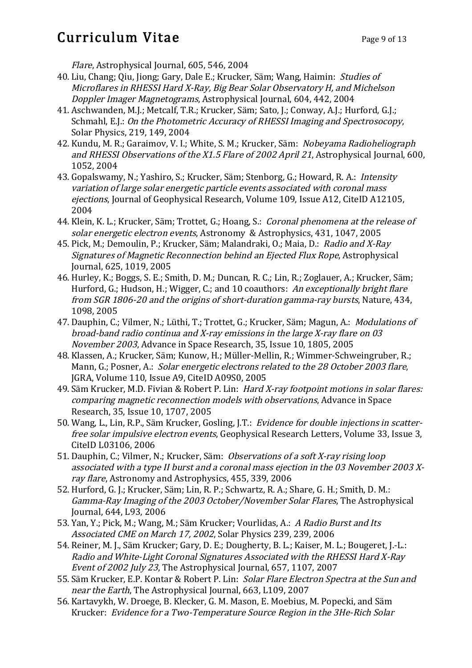# Curriculum Vitae Page 9 of 13

Flare, Astrophysical Journal, 605, 546, 2004

- 40. Liu, Chang; Qiu, Jiong; Gary, Dale E.; Krucker, Säm; Wang, Haimin: Studies of Microflares in RHESSI Hard X-Ray, Big Bear Solar Observatory H, and Michelson Doppler Imager Magnetograms, Astrophysical Journal, 604, 442, 2004
- 41. Aschwanden, M.J.; Metcalf, T.R.; Krucker, Säm; Sato, J.; Conway, A.J.; Hurford, G.J.; Schmahl, E.J.: On the Photometric Accuracy of RHESSI Imaging and Spectrosocopy, Solar Physics, 219, 149, 2004
- 42. Kundu, M. R.; Garaimov, V. I.; White, S. M.; Krucker, Säm: Nobeyama Radioheliograph and RHESSI Observations of the X1.5 Flare of 2002 April 21, Astrophysical Journal, 600, 1052, 2004
- 43. Gopalswamy, N.; Yashiro, S.; Krucker, Säm; Stenborg, G.; Howard, R. A.: Intensity variation of large solar energetic particle events associated with coronal mass ejections, Journal of Geophysical Research, Volume 109, Issue A12, CiteID A12105, 2004
- 44. Klein, K. L.; Krucker, Säm; Trottet, G.; Hoang, S.: *Coronal phenomena at the release of* solar energetic electron events, Astronomy & Astrophysics, 431, 1047, 2005
- 45. Pick, M.; Demoulin, P.; Krucker, Säm; Malandraki, O.; Maia, D.: Radio and X-Ray Signatures of Magnetic Reconnection behind an Ejected Flux Rope, Astrophysical Journal, 625, 1019, 2005
- 46. Hurley, K.; Boggs, S. E.; Smith, D. M.; Duncan, R. C.; Lin, R.; Zoglauer, A.; Krucker, Säm; Hurford, G.; Hudson, H.; Wigger, C.; and 10 coauthors: An exceptionally bright flare from SGR 1806-20 and the origins of short-duration gamma-ray bursts, Nature, 434, 1098, 2005
- 47. Dauphin, C.; Vilmer, N.; Lüthi, T.; Trottet, G.; Krucker, Säm; Magun, A.: Modulations of broad-band radio continua and X-ray emissions in the large X-ray flare on 03 November 2003, Advance in Space Research, 35, Issue 10, 1805, 2005
- 48. Klassen, A.; Krucker, Säm; Kunow, H.; Müller-Mellin, R.; Wimmer-Schweingruber, R.; Mann, G.; Posner, A.: Solar energetic electrons related to the 28 October 2003 flare, JGRA, Volume 110, Issue A9, CiteID A09S0, 2005
- 49. Säm Krucker, M.D. Fivian & Robert P. Lin: Hard X-ray footpoint motions in solar flares: comparing magnetic reconnection models with observations, Advance in Space Research, 35, Issue 10, 1707, 2005
- 50. Wang, L., Lin, R.P., Säm Krucker, Gosling, J.T.: Evidence for double injections in scatterfree solar impulsive electron events, Geophysical Research Letters, Volume 33, Issue 3, CiteID L03106, 2006
- 51. Dauphin, C.; Vilmer, N.; Krucker, Säm: Observations of a soft X-ray rising loop associated with a type II burst and a coronal mass ejection in the 03 November 2003 Xray flare, Astronomy and Astrophysics, 455, 339, 2006
- 52. Hurford, G. J.; Krucker, Säm; Lin, R. P.; Schwartz, R. A.; Share, G. H.; Smith, D. M.: Gamma-Ray Imaging of the 2003 October/November Solar Flares, The Astrophysical Journal, 644, L93, 2006
- 53. Yan, Y.; Pick, M.; Wang, M.; Säm Krucker; Vourlidas, A.: A Radio Burst and Its Associated CME on March 17, 2002, Solar Physics 239, 239, 2006
- 54. Reiner, M. J., Säm Krucker; Gary, D. E.; Dougherty, B. L.; Kaiser, M. L.; Bougeret, J.-L.: Radio and White-Light Coronal Signatures Associated with the RHESSI Hard X-Ray Event of 2002 July 23, The Astrophysical Journal, 657, 1107, 2007
- 55. Säm Krucker, E.P. Kontar & Robert P. Lin: Solar Flare Electron Spectra at the Sun and near the Earth, The Astrophysical Journal, 663, L109, 2007
- 56. Kartavykh, W. Droege, B. Klecker, G. M. Mason, E. Moebius, M. Popecki, and Säm Krucker: Evidence for a Two-Temperature Source Region in the 3He-Rich Solar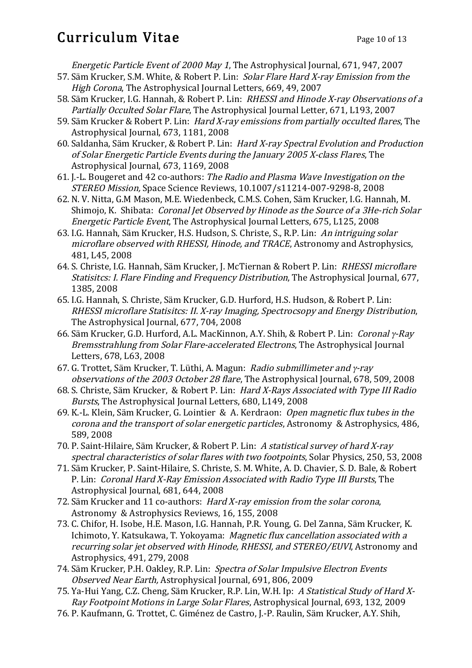## Curriculum Vitae Page 10 of 13

Energetic Particle Event of 2000 May 1, The Astrophysical Journal, 671, 947, 2007

- 57. Säm Krucker, S.M. White, & Robert P. Lin: Solar Flare Hard X-ray Emission from the High Corona, The Astrophysical Journal Letters, 669, 49, 2007
- 58. Säm Krucker, I.G. Hannah, & Robert P. Lin: RHESSI and Hinode X-ray Observations of a Partially Occulted Solar Flare, The Astrophysical Journal Letter, 671, L193, 2007
- 59. Säm Krucker & Robert P. Lin: Hard X-ray emissions from partially occulted flares, The Astrophysical Journal, 673, 1181, 2008
- 60. Saldanha, Säm Krucker, & Robert P. Lin: Hard X-ray Spectral Evolution and Production of Solar Energetic Particle Events during the January 2005 X-class Flares, The Astrophysical Journal, 673, 1169, 2008
- 61. J.-L. Bougeret and 42 co-authors: The Radio and Plasma Wave Investigation on the STEREO Mission, Space Science Reviews, 10.1007/s11214-007-9298-8, 2008
- 62. N. V. Nitta, G.M Mason, M.E. Wiedenbeck, C.M.S. Cohen, Säm Krucker, I.G. Hannah, M. Shimojo, K. Shibata: Coronal Jet Observed by Hinode as the Source of a 3He-rich Solar Energetic Particle Event, The Astrophysical Journal Letters, 675, L125, 2008
- 63. I.G. Hannah, Säm Krucker, H.S. Hudson, S. Christe, S., R.P. Lin: An intriguing solar microflare observed with RHESSI, Hinode, and TRACE, Astronomy and Astrophysics, 481, L45, 2008
- 64. S. Christe, I.G. Hannah, Säm Krucker, J. McTiernan & Robert P. Lin: RHESSI microflare Statisitcs: I. Flare Finding and Frequency Distribution, The Astrophysical Journal, 677, 1385, 2008
- 65. I.G. Hannah, S. Christe, Säm Krucker, G.D. Hurford, H.S. Hudson, & Robert P. Lin: RHESSI microflare Statisitcs: II. X-ray Imaging, Spectrocsopy and Energy Distribution, The Astrophysical Journal, 677, 704, 2008
- 66. Säm Krucker, G.D. Hurford, A.L. MacKinnon, A.Y. Shih, & Robert P. Lin: Coronal γ-Ray Bremsstrahlung from Solar Flare-accelerated Electrons, The Astrophysical Journal Letters, 678, L63, 2008
- 67. G. Trottet, Säm Krucker, T. Lüthi, A. Magun: Radio submillimeter and γ-ray observations of the 2003 October 28 flare, The Astrophysical Journal, 678, 509, 2008
- 68. S. Christe, Säm Krucker, & Robert P. Lin: Hard X-Rays Associated with Type III Radio Bursts, The Astrophysical Journal Letters, 680, L149, 2008
- 69. K.-L. Klein, Säm Krucker, G. Lointier & A. Kerdraon: Open magnetic flux tubes in the corona and the transport of solar energetic particles, Astronomy & Astrophysics, 486, 589, 2008
- 70. P. Saint-Hilaire, Säm Krucker, & Robert P. Lin: A statistical survey of hard X-ray spectral characteristics of solar flares with two footpoints, Solar Physics, 250, 53, 2008
- 71. Säm Krucker, P. Saint-Hilaire, S. Christe, S. M. White, A. D. Chavier, S. D. Bale, & Robert P. Lin: Coronal Hard X-Ray Emission Associated with Radio Type III Bursts, The Astrophysical Journal, 681, 644, 2008
- 72. Säm Krucker and 11 co-authors: Hard X-ray emission from the solar corona, Astronomy & Astrophysics Reviews, 16, 155, 2008
- 73. C. Chifor, H. Isobe, H.E. Mason, I.G. Hannah, P.R. Young, G. Del Zanna, Säm Krucker, K. Ichimoto, Y. Katsukawa, T. Yokoyama: Magnetic flux cancellation associated with a recurring solar jet observed with Hinode, RHESSI, and STEREO/EUVI, Astronomy and Astrophysics, 491, 279, 2008
- 74. Säm Krucker, P.H. Oakley, R.P. Lin: Spectra of Solar Impulsive Electron Events Observed Near Earth, Astrophysical Journal, 691, 806, 2009
- 75. Ya-Hui Yang, C.Z. Cheng, Säm Krucker, R.P. Lin, W.H. Ip: A Statistical Study of Hard X-Ray Footpoint Motions in Large Solar Flares, Astrophysical Journal, 693, 132, 2009
- 76. P. Kaufmann, G. Trottet, C. Giménez de Castro, J.-P. Raulin, Säm Krucker, A.Y. Shih,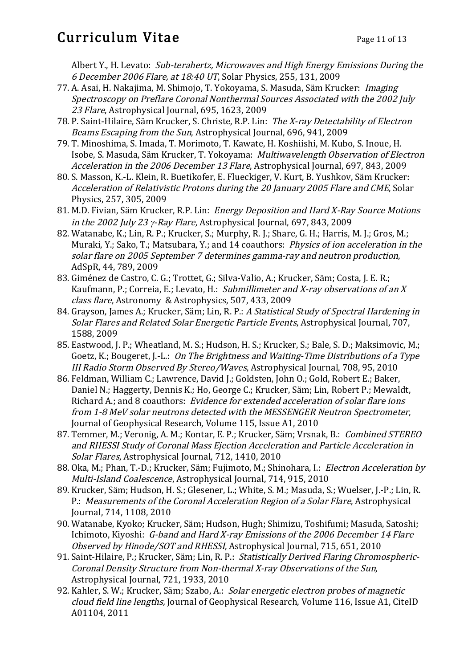## Curriculum Vitae Page 11 of 13

Albert Y., H. Levato: Sub-terahertz, Microwaves and High Energy Emissions During the 6 December 2006 Flare, at 18:40 UT, Solar Physics, 255, 131, 2009

- 77. A. Asai, H. Nakajima, M. Shimojo, T. Yokoyama, S. Masuda, Säm Krucker: Imaging Spectroscopy on Preflare Coronal Nonthermal Sources Associated with the 2002 July 23 Flare, Astrophysical Journal, 695, 1623, 2009
- 78. P. Saint-Hilaire, Säm Krucker, S. Christe, R.P. Lin: The X-ray Detectability of Electron Beams Escaping from the Sun, Astrophysical Journal, 696, 941, 2009
- 79. T. Minoshima, S. Imada, T. Morimoto, T. Kawate, H. Koshiishi, M. Kubo, S. Inoue, H. Isobe, S. Masuda, Säm Krucker, T. Yokoyama: Multiwavelength Observation of Electron Acceleration in the 2006 December 13 Flare, Astrophysical Journal, 697, 843, 2009
- 80. S. Masson, K.-L. Klein, R. Buetikofer, E. Flueckiger, V. Kurt, B. Yushkov, Säm Krucker: Acceleration of Relativistic Protons during the 20 January 2005 Flare and CME, Solar Physics, 257, 305, 2009
- 81. M.D. Fivian, Säm Krucker, R.P. Lin: Energy Deposition and Hard X-Ray Source Motions in the 2002 July 23 γ-Ray Flare, Astrophysical Journal, 697, 843, 2009
- 82. Watanabe, K.; Lin, R. P.; Krucker, S.; Murphy, R. J.; Share, G. H.; Harris, M. J.; Gros, M.; Muraki, Y.; Sako, T.; Matsubara, Y.; and 14 coauthors: Physics of ion acceleration in the solar flare on 2005 September 7 determines gamma-ray and neutron production, AdSpR, 44, 789, 2009
- 83. Giménez de Castro, C. G.; Trottet, G.; Silva-Valio, A.; Krucker, Säm; Costa, J. E. R.; Kaufmann, P.; Correia, E.; Levato, H.: Submillimeter and X-ray observations of an X class flare, Astronomy & Astrophysics, 507, 433, 2009
- 84. Grayson, James A.; Krucker, Säm; Lin, R. P.: A Statistical Study of Spectral Hardening in Solar Flares and Related Solar Energetic Particle Events, Astrophysical Journal, 707, 1588, 2009
- 85. Eastwood, J. P.; Wheatland, M. S.; Hudson, H. S.; Krucker, S.; Bale, S. D.; Maksimovic, M.; Goetz, K.; Bougeret, J.-L.: On The Brightness and Waiting-Time Distributions of a Type III Radio Storm Observed By Stereo/Waves, Astrophysical Journal, 708, 95, 2010
- 86. Feldman, William C.; Lawrence, David J.; Goldsten, John O.; Gold, Robert E.; Baker, Daniel N.; Haggerty, Dennis K.; Ho, George C.; Krucker, Säm; Lin, Robert P.; Mewaldt, Richard A.; and 8 coauthors: Evidence for extended acceleration of solar flare ions from 1-8 MeV solar neutrons detected with the MESSENGER Neutron Spectrometer, Journal of Geophysical Research, Volume 115, Issue A1, 2010
- 87. Temmer, M.; Veronig, A. M.; Kontar, E. P.; Krucker, Säm; Vrsnak, B.: Combined STEREO and RHESSI Study of Coronal Mass Ejection Acceleration and Particle Acceleration in Solar Flares, Astrophysical Journal, 712, 1410, 2010
- 88. Oka, M.; Phan, T.-D.; Krucker, Säm; Fujimoto, M.; Shinohara, I.: Electron Acceleration by Multi-Island Coalescence, Astrophysical Journal, 714, 915, 2010
- 89. Krucker, Säm; Hudson, H. S.; Glesener, L.; White, S. M.; Masuda, S.; Wuelser, J.-P.; Lin, R. P.: Measurements of the Coronal Acceleration Region of a Solar Flare, Astrophysical Journal, 714, 1108, 2010
- 90. Watanabe, Kyoko; Krucker, Säm; Hudson, Hugh; Shimizu, Toshifumi; Masuda, Satoshi; Ichimoto, Kiyoshi: G-band and Hard X-ray Emissions of the 2006 December 14 Flare Observed by Hinode/SOT and RHESSI, Astrophysical Journal, 715, 651, 2010
- 91. Saint-Hilaire, P.; Krucker, Säm; Lin, R. P.: Statistically Derived Flaring Chromospheric-Coronal Density Structure from Non-thermal X-ray Observations of the Sun, Astrophysical Journal, 721, 1933, 2010
- 92. Kahler, S. W.; Krucker, Säm; Szabo, A.: Solar energetic electron probes of magnetic cloud field line lengths, Journal of Geophysical Research, Volume 116, Issue A1, CiteID A01104, 2011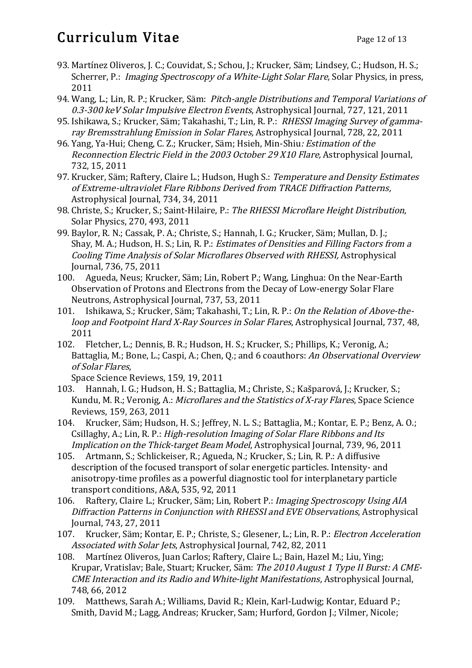# Curriculum Vitae Page 12 of 13

- 93. Martínez Oliveros, J. C.; Couvidat, S.; Schou, J.; Krucker, Säm; Lindsey, C.; Hudson, H. S.; Scherrer, P.: *Imaging Spectroscopy of a White-Light Solar Flare*, Solar Physics, in press, 2011
- 94. Wang, L.; Lin, R. P.; Krucker, Säm: Pitch-angle Distributions and Temporal Variations of 0.3-300 keV Solar Impulsive Electron Events, Astrophysical Journal, 727, 121, 2011
- 95. Ishikawa, S.; Krucker, Säm; Takahashi, T.; Lin, R. P.: RHESSI Imaging Survey of gammaray Bremsstrahlung Emission in Solar Flares, Astrophysical Journal, 728, 22, 2011
- 96. Yang, Ya-Hui; Cheng, C. Z.; Krucker, Säm; Hsieh, Min-Shiu: Estimation of the Reconnection Electric Field in the 2003 October 29 X10 Flare, Astrophysical Journal, 732, 15, 2011
- 97. Krucker, Säm; Raftery, Claire L.; Hudson, Hugh S.: Temperature and Density Estimates of Extreme-ultraviolet Flare Ribbons Derived from TRACE Diffraction Patterns, Astrophysical Journal, 734, 34, 2011
- 98. Christe, S.; Krucker, S.; Saint-Hilaire, P.: The RHESSI Microflare Height Distribution, Solar Physics, 270, 493, 2011
- 99. Baylor, R. N.; Cassak, P. A.; Christe, S.; Hannah, I. G.; Krucker, Säm; Mullan, D. J.; Shay, M. A.; Hudson, H. S.; Lin, R. P.: *Estimates of Densities and Filling Factors from a* Cooling Time Analysis of Solar Microflares Observed with RHESSI, Astrophysical Journal, 736, 75, 2011
- 100. Agueda, Neus; Krucker, Säm; Lin, Robert P.; Wang, Linghua: On the Near-Earth Observation of Protons and Electrons from the Decay of Low-energy Solar Flare Neutrons, Astrophysical Journal, 737, 53, 2011
- 101. Ishikawa, S.; Krucker, Säm; Takahashi, T.; Lin, R. P.: On the Relation of Above-theloop and Footpoint Hard X-Ray Sources in Solar Flares, Astrophysical Journal, 737, 48, 2011
- 102. Fletcher, L.; Dennis, B. R.; Hudson, H. S.; Krucker, S.; Phillips, K.; Veronig, A.; Battaglia, M.; Bone, L.; Caspi, A.; Chen, O.; and 6 coauthors: An Observational Overview of Solar Flares,

Space Science Reviews, 159, 19, 2011

- 103. Hannah, I. G.; Hudson, H. S.; Battaglia, M.; Christe, S.; Kašparová, J.; Krucker, S.; Kundu, M. R.; Veronig, A.: *Microflares and the Statistics of X-ray Flares*, Space Science Reviews, 159, 263, 2011
- 104. Krucker, Säm; Hudson, H. S.; Jeffrey, N. L. S.; Battaglia, M.; Kontar, E. P.; Benz, A. O.; Csillaghy, A.; Lin, R. P.: High-resolution Imaging of Solar Flare Ribbons and Its Implication on the Thick-target Beam Model, Astrophysical Journal, 739, 96, 2011
- 105. Artmann, S.; Schlickeiser, R.; Agueda, N.; Krucker, S.; Lin, R. P.: A diffusive description of the focused transport of solar energetic particles. Intensity- and anisotropy-time profiles as a powerful diagnostic tool for interplanetary particle transport conditions, A&A, 535, 92, 2011
- 106. Raftery, Claire L.; Krucker, Säm; Lin, Robert P.: Imaging Spectroscopy Using AIA Diffraction Patterns in Conjunction with RHESSI and EVE Observations, Astrophysical Journal, 743, 27, 2011
- 107. Krucker, Säm; Kontar, E. P.; Christe, S.; Glesener, L.; Lin, R. P.: Electron Acceleration Associated with Solar Jets, Astrophysical Journal, 742, 82, 2011
- 108. Martínez Oliveros, Juan Carlos; Raftery, Claire L.; Bain, Hazel M.; Liu, Ying; Krupar, Vratislav; Bale, Stuart; Krucker, Säm: The 2010 August 1 Type II Burst: A CME-CME Interaction and its Radio and White-light Manifestations, Astrophysical Journal, 748, 66, 2012
- 109. Matthews, Sarah A.; Williams, David R.; Klein, Karl-Ludwig; Kontar, Eduard P.; Smith, David M.; Lagg, Andreas; Krucker, Sam; Hurford, Gordon J.; Vilmer, Nicole;